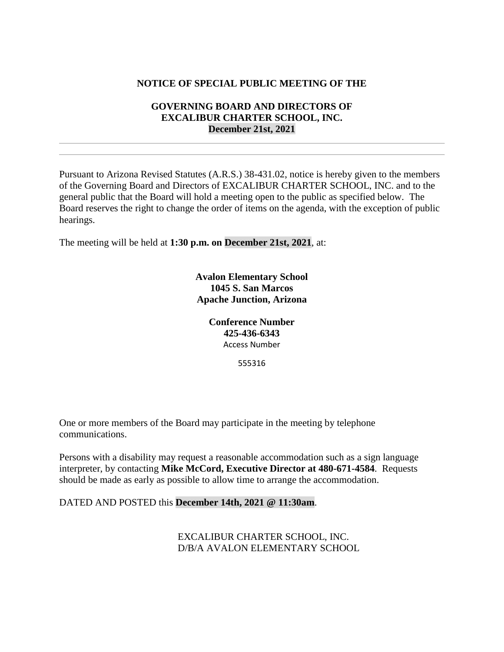# **NOTICE OF SPECIAL PUBLIC MEETING OF THE**

## **GOVERNING BOARD AND DIRECTORS OF EXCALIBUR CHARTER SCHOOL, INC. December 21st, 2021**

Pursuant to Arizona Revised Statutes (A.R.S.) 38-431.02, notice is hereby given to the members of the Governing Board and Directors of EXCALIBUR CHARTER SCHOOL, INC. and to the general public that the Board will hold a meeting open to the public as specified below. The Board reserves the right to change the order of items on the agenda, with the exception of public hearings.

The meeting will be held at **1:30 p.m. on December 21st, 2021**, at:

**Avalon Elementary School 1045 S. San Marcos Apache Junction, Arizona**

> **Conference Number 425-436-6343** Access Number

> > 555316

One or more members of the Board may participate in the meeting by telephone communications.

Persons with a disability may request a reasonable accommodation such as a sign language interpreter, by contacting **Mike McCord, Executive Director at 480-671-4584**. Requests should be made as early as possible to allow time to arrange the accommodation.

#### DATED AND POSTED this **December 14th, 2021 @ 11:30am**.

EXCALIBUR CHARTER SCHOOL, INC. D/B/A AVALON ELEMENTARY SCHOOL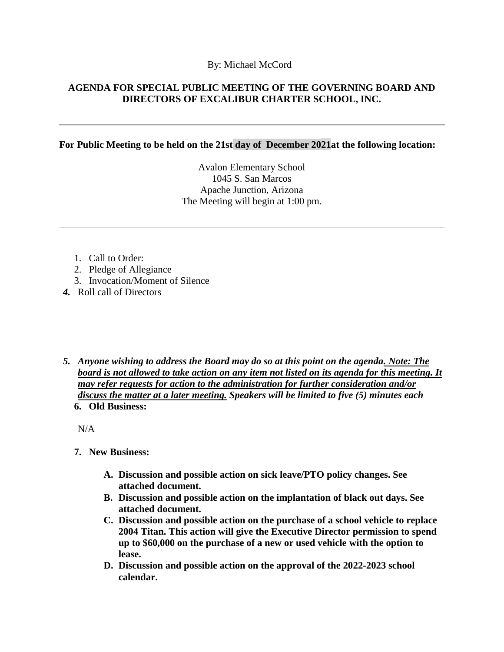### By: Michael McCord

# **AGENDA FOR SPECIAL PUBLIC MEETING OF THE GOVERNING BOARD AND DIRECTORS OF EXCALIBUR CHARTER SCHOOL, INC.**

### **For Public Meeting to be held on the 21st day of December 2021at the following location:**

Avalon Elementary School 1045 S. San Marcos Apache Junction, Arizona The Meeting will begin at 1:00 pm.

- 1. Call to Order:
- 2. Pledge of Allegiance
- 3. Invocation/Moment of Silence
- *4.* Roll call of Directors
- *5. Anyone wishing to address the Board may do so at this point on the agenda. Note: The board is not allowed to take action on any item not listed on its agenda for this meeting. It may refer requests for action to the administration for further consideration and/or discuss the matter at a later meeting. Speakers will be limited to five (5) minutes each* **6. Old Business:**

 $N/A$ 

- **7. New Business:**
	- **A. Discussion and possible action on sick leave/PTO policy changes. See attached document.**
	- **B. Discussion and possible action on the implantation of black out days. See attached document.**
	- **C. Discussion and possible action on the purchase of a school vehicle to replace 2004 Titan. This action will give the Executive Director permission to spend up to \$60,000 on the purchase of a new or used vehicle with the option to lease.**
	- **D. Discussion and possible action on the approval of the 2022-2023 school calendar.**